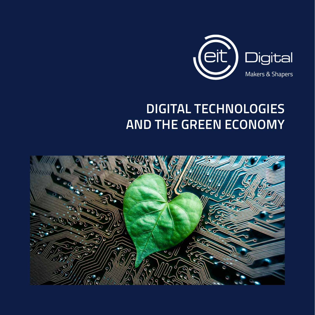

### **DIGITAL TECHNOLOGIES AND THE GREEN ECONOMY**

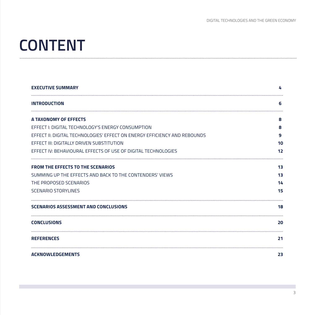### **CONTENT**

| <b>EXECUTIVE SUMMARY</b>                                                  | 4  |
|---------------------------------------------------------------------------|----|
| <b>INTRODUCTION</b>                                                       | 6  |
| A TAXONOMY OF EFFECTS                                                     | 8  |
| EFFECT I: DIGITAL TECHNOLOGY'S ENERGY CONSUMPTION                         | 8  |
| EFFECT II: DIGITAL TECHNOLOGIES' EFFECT ON ENERGY EFFICIENCY AND REBOUNDS | 9  |
| EFFECT III: DIGITALLY DRIVEN SUBSTITUTION                                 | 10 |
| EFFECT IV: BEHAVIOURAL EFFECTS OF USE OF DIGITAL TECHNOLOGIES             | 12 |
| <b>FROM THE EFFECTS TO THE SCENARIOS</b>                                  | 13 |
| SUMMING UP THE EFFECTS AND BACK TO THE CONTENDERS' VIEWS                  | 13 |
| THE PROPOSED SCENARIOS                                                    | 14 |
| <b>SCENARIO STORYLINES</b>                                                | 15 |
| <b>SCENARIOS ASSESSMENT AND CONCLUSIONS</b>                               | 18 |
| <b>CONCLUSIONS</b>                                                        | 20 |
| <b>REFERENCES</b>                                                         | 21 |
| <b>ACKNOWLEDGEMENTS</b>                                                   | 23 |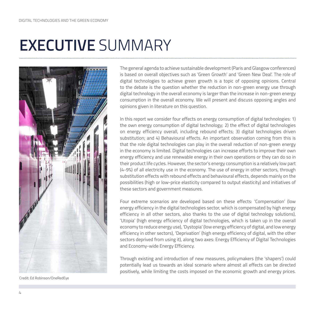## **EXECUTIVE** SUMMARY



The general agenda to achieve sustainable development (Paris and Glasgow conferences) is based on overall objectives such as 'Green Growth' and 'Green New Deal'. The role of digital technologies to achieve green growth is a topic of opposing opinions. Central to the debate is the question whether the reduction in non-green energy use through digital technology in the overall economy is larger than the increase in non-green energy consumption in the overall economy. We will present and discuss opposing angles and opinions given in literature on this question.

In this report we consider four effects on energy consumption of digital technologies: 1) the own energy consumption of digital technology; 2) the effect of digital technologies on energy efficiency overall, including rebound effects; 3) digital technologies driven substitution; and 4) Behavioural effects. An important observation coming from this is that the role digital technologies can play in the overall reduction of non-green energy in the economy is limited. Digital technologies can increase efforts to improve their own energy efficiency and use renewable energy in their own operations or they can do so in their product life cycles. However, the sector's energy consumption is a relatively low part (4-9%) of all electricity use in the economy. The use of energy in other sectors, through substitution effects with rebound effects and behavioural effects, depends mainly on the possibilities (high or low-price elasticity compared to output elasticity) and initiatives of these sectors and government measures.

Four extreme scenarios are developed based on these effects: 'Compensation' (low energy efficiency in the digital technologies sector, which is compensated by high energy efficiency in all other sectors, also thanks to the use of digital technology solutions), 'Utopia' (high energy efficiency of digital technologies, which is taken up in the overall economy to reduce energy use), 'Dystopia' (low energy efficiency of digital, and low energy efficiency in other sectors), 'Deprivation' (high energy efficiency of digital, with the other sectors deprived from using it), along two axes: Energy Efficiency of Digital Technologies and Economy-wide Energy Efficiency.

Through existing and introduction of new measures, policymakers (the 'shapers') could potentially lead us towards an ideal scenario where almost all effects can be directed positively, while limiting the costs imposed on the economic growth and energy prices.

Credit: Ed Robinson/OneRedEye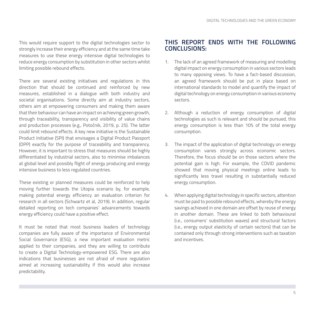This would require support to the digital technologies sector to strongly increase their energy efficiency and at the same time take measures to use these energy intensive digital technologies to reduce energy consumption by substitution in other sectors whilst limiting possible rebound effects.

There are several existing initiatives and regulations in this direction that should be continued and reinforced by new measures, established in a dialogue with both industry and societal organisations. Some directly aim at industry sectors, others aim at empowering consumers and making them aware that their behaviour can have an impact on achieving green growth, through traceability, transparency and visibility of value chains and production processes (e.g., Potočnik, 2019, p. 25). The latter could limit rebound effects. A key new initiative is the Sustainable Product Initiative (SPI) that envisages a Digital Product Passport (DPP) exactly for the purpose of traceability and transparency. However, it is important to stress that measures should be highly differentiated by industrial sectors, also to minimise imbalances at global level and possibly flight of energy producing and energy intensive business to less regulated countries.

These existing or planned measures could be reinforced to help moving further towards the Utopia scenario by, for example, making potential energy efficiency an evaluation criterion for research in all sectors (Schwartz et al, 2019). In addition, regular detailed reporting on tech companies' advancements towards energy efficiency could have a positive effect.

It must be noted that most business leaders of technology companies are fully aware of the importance of Environmental Social Governance (ESG), a new important evaluation metric applied to their companies, and they are willing to contribute to create a Digital Technology-empowered ESG. There are also indications that businesses are not afraid of more regulation aimed at increasing sustainability if this would also increase predictability.

### **THIS REPORT ENDS WITH THE FOLLOWING CONCLUSIONS:**

- 1. The lack of an agreed framework of measuring and modelling digital impact on energy consumption in various sectors leads to many opposing views. To have a fact-based discussion, an agreed framework should be put in place based on international standards to model and quantify the impact of digital technology on energy consumption in various economy sectors.
- 2. Although a reduction of energy consumption of digital technologies as such is relevant and should be pursued, this energy consumption is less than 10% of the total energy consumption.
- 3. The impact of the application of digital technology on energy consumption varies strongly across economic sectors. Therefore, the focus should be on those sectors where the potential gain is high. For example, the COVID pandemic showed that moving physical meetings online leads to significantly less travel resulting in substantially reduced energy consumption.
- 4. When applying digital technology in specific sectors, attention must be paid to possible rebound effects, whereby the energy savings achieved in one domain are offset by reuse of energy in another domain. These are linked to both behavioural (i.e., consumers' substitution waves) and structural factors (i.e., energy output elasticity of certain sectors) that can be contained only through strong interventions such as taxation and incentives.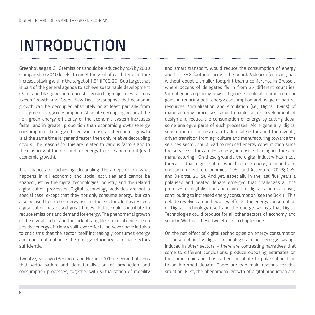## **INTRODUCTION**

Greenhouse gas (GHG) emissions should be reduced by 45% by 2030 (compared to 2010 levels) to meet the goal of earth temperature increase staying within the target of 1.5° (IPCC, 2018), a target that is part of the general agenda to achieve sustainable development (Paris and Glasgow conferences). Overarching objectives such as 'Green Growth' and 'Green New Deal' presuppose that economic growth can be decoupled absolutely or at least partially from non-green energy consumption. Absolute decoupling occurs if the non-green energy efficiency of the economic system increases faster and in greater proportion than economic growth (energy consumption). If energy efficiency increases, but economic growth is at the same time larger and faster, then only relative decoupling occurs. The reasons for this are related to various factors and to the elasticity of the demand for energy to price and output (read economic growth).

The chances of achieving decoupling thus depend on what happens in all economic and social activities and cannot be shaped just by the digital technologies industry and the related digitalisation processes. Digital technology activities are not a special case, except that they not only consume energy, but can also be used to reduce energy use in other sectors. In this respect, digitalisation has raised great hopes that it could contribute to reduce emissions and demand for energy. The phenomenal growth of the digital sector and the lack of tangible empirical evidence on positive energy efficiency spill-over effects, however, have led also to criticisms that the sector itself increasingly consumes energy and does not enhance the energy efficiency of other sectors sufficiently.

Twenty years ago (Berkhout and Hertin 2001) it seemed obvious that virtualisation and dematerialisation of production and consumption processes, together with virtualisation of mobility and smart transport, would reduce the consumption of energy and the GHG footprint across the board. Videoconferencing has without doubt a smaller footprint than a conference in Brussels where dozens of delegates fly in from 27 different countries. Virtual goods replacing physical goods should also produce clear gains in reducing both energy consumption and usage of natural resources. Virtualisation and simulation (i.e., Digital Twins) of manufacturing processes should enable faster development of design and reduce the consumption of energy by cutting down some analogue parts of such processes. More generally, digital substitution of processes in traditional sectors and the digitally driven transition from agriculture and manufacturing towards the services sector, could lead to reduced energy consumption since the service sectors are less energy intensive than agriculture and manufacturing<sup>1</sup>. On these grounds the digital industry has made forecasts that digitalisation would reduce energy demand and emission for entire economies (GeSI² and Accenture, 2015; GeSI and Deloitte, 2019). And yet, especially in the last five years a polarised and heated debate emerged that challenges all the promises of digitalisation and claim that digitalisation is heavily contributing to increased energy consumption (see the Box 1). This debate revolves around two key effects: the energy consumption of Digital Technology itself and the energy savings that Digital Technologies could produce for all other sectors of economy and society. We treat these two effects in chapter one.

On the net effect of digital technologies on energy consumption – consumption by digital technologies minus energy savings induced in other sectors – there are contrasting narratives that come to different conclusions, produce opposing estimates on the same topic and thus rather contribute to polarisation than to an informed debate. There are two main reasons for this situation. First, the phenomenal growth of digital production and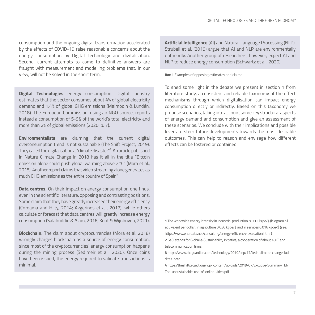consumption and the ongoing digital transformation accelerated by the effects of COVID-19 raise reasonable concerns about the energy consumption by Digital Technology and digitalisation. Second, current attempts to come to definitive answers are fraught with measurement and modelling problems that, in our view, will not be solved in the short term.

**Digital Technologies** energy consumption. Digital industry estimates that the sector consumes about 4% of global electricity demand and 1.4% of global GHG emissions (Malmodin & Lundén, 2018). The European Commission, using an NGO source, reports instead a consumption of 5-9% of the world's total electricity and more than 2% of global emissions (2020, p. 7).

**Environmentalists** are claiming that the current digital overconsumption trend is not sustainable (The Shift Project, 2019). They called the digitalisation a "climate disaster"<sup>3</sup>. An article published in Nature Climate Change in 2018 has it all in the title "Bitcoin emission alone could push global warming above 2°C" (Mora et al., 2018). Another report claims that video streaming alone generates as much GHG emissions as the entire country of Spain<sup>4</sup>.

**Data centres.** On their impact on energy consumption one finds, even in the scientific literature, opposing and contrasting positions. Some claim that they have greatly increased their energy efficiency (Coroama and Hilty, 2014; Avgerinos et al., 2017), while others calculate or forecast that data centres will greatly increase energy consumption (Salahuddin & Alam, 2016; Koot & Wijnhoven, 2021).

**Blockchain.** The claim about cryptocurrencies (Mora et al. 2018) wrongly charges blockchain as a source of energy consumption, since most of the cryptocurrencies' energy consumption happens during the mining process (Sedlmeir et al., 2020). Once coins have been issued, the energy required to validate transactions is minimal.

**Artificial Intelligence** (AI) and Natural Language Processing (NLP). Strubell et al. (2019) argue that AI and NLP are environmentally unfriendly. Another group of researchers, however, expect AI and NLP to reduce energy consumption (Schwartz et al., 2020).

**Box 1** Examples of opposing estimates and claims

To shed some light in the debate we present in section 1 from literature study, a consistent and reliable taxonomy of the effect mechanisms through which digitalisation can impact energy consumption directly or indirectly. Based on this taxonomy we propose scenarios, taking into account some key structural aspects of energy demand and consumption and give an assessment of these scenarios. We conclude with their implications and possible levers to steer future developments towards the most desirable outcomes. This can help to reason and envisage how different effects can be fostered or contained.

**1** The worldwide energy intensity in industrial production is 0.12 kgoe/\$ (kilogram oil equivalent per dollar), in agriculture 0.036 kgoe/\$ and in services 0.016 kgoe/\$ (see: https://www.enerdata.net/consulting/energy-efficiency-evaluation.html ).

**2** GeSi stands for Global e-Sustainability Initiative, a cooperation of about 40 IT and telecommunication firms.

**3** https://www.theguardian.com/technology/2019/sep/17/tech-climate-change-luddites-data

**4** https://theshiftproject.org/wp- content/uploads/2019/07/Excutive-Summary\_EN\_ The-unsustainable-use-of-online-video.pdf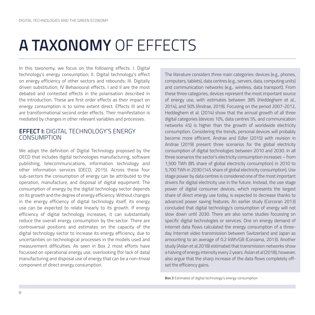### **A TAXONOMY** OF EFFECTS

In this taxonomy, we focus on the following effects: I. Digital technology's energy consumption; II. Digital technology's effect on energy efficiency of other sectors and rebounds; III. Digitally driven substitution; IV Behavioural effects. I and II are the most debated and contested effects in the polarisation described in the introduction. These are first order effects as their impact on energy consumption is to some extent direct. Effects III and IV are transformational second order effects. Their manifestation is mediated by changes in other relevant variables and processes.

### **EFFECT I:** DIGITAL TECHNOLOGY'S ENERGY CONSUMPTION

We adopt the definition of Digital Technology proposed by the OECD that includes digital technologies manufacturing, software publishing, telecommunications, information technology and other information services (OECD, 2015). Across these four sub-sectors the consumption of energy can be attributed to the operation, manufacture, and disposal of digital equipment. The consumption of energy by the digital technology sector depends on its growth and the degree of energy efficiency. Without changes in the energy efficiency of digital technology itself, its energy use can be expected to relate linearly to its growth. If energy efficiency of digital technology increases, it can substantially reduce the overall energy consumption by the sector. There are controversial positions and estimates on the capacity of the digital technology sector to increase its energy efficiency, due to uncertainties on technological processes in the models used and measurement difficulties. As seen in Box 2 most efforts have focussed on operational energy use, overlooking (for lack of data) manufacturing and disposal use of energy that can be a non-trivial component of direct energy consumption.

The literature considers three main categories: devices (e.g., phones, computers, tablets), data centres (e.g., servers, data, computing units) and communication networks (e.g., wireless, data transport). From these three categories, devices represent the most important source of energy use, with estimates between 38% (Heddeghem et al., 2014), and 50% (Andrae, 2019). Focusing on the period 2007-2012, Heddeghem et al. (2014) show that the annual growth of all three digital categories (devices 10%, data centres 5%, and communication networks 4%) is higher than the growth of worldwide electricity consumption. Considering the trends, personal devices will probably become more efficient. Andrae and Edler (2015) with revision in Andrae (2019) present three scenarios for the global electricity consumption of digital technologies between 2010 and 2030. In all three scenarios the sector's electricity consumption increases – from 1,500 TWh (8% share of global electricity consumption) in 2010 to 5,700 TWh in 2030 (14% share of global electricity consumption). Use stage power by data centres is considered one of the most important drivers for digital electricity use in the future. Instead, the use stage power of digital consumer devices, which represents the largest share of direct energy use today, is expected to decrease thanks to advanced power saving features. An earlier study (Corcoran 2013) concluded that digital technology's consumption of energy will not slow down until 2030. There are also some studies focussing on specific digital technologies or services. One on energy demand of internet data flows calculated the energy consumption of a threeday Internet video transmission between Switzerland and Japan as amounting to an average of 0.2 kWh/GB (Coroama, 2013). Another study (Aslan et al.2018) estimated that transmission networks show a halving of energy intensity every 2 years. Aslan et al (2018), however, also argue that the sharp increase of the data flows completely offset the efficiency gains.

**Box 2** Estimates of digital technology's energy consumption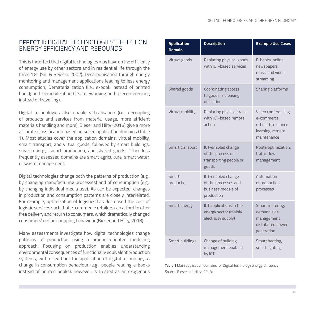### **EFFECT II:** DIGITAL TECHNOLOGIES' EFFECT ON ENERGY EFFICIENCY AND REBOUNDS

This is the effect that digital technologies may have on the efficiency of energy use by other sectors and in residential life through the three 'Ds' (Sui & Rejeski, 2002). Decarbonisation through energy monitoring and management applications leading to less energy consumption; Dematerialization (i.e., e-book instead of printed book); and Demobilization (i.e., teleworking and teleconferencing instead of travelling).

Digital technologies also enable virtualisation (i.e., decoupling of products and services from material usage, more efficient materials handling and more). Bieser and Hilty (2018) give a more accurate classification based on seven application domains (Table 1). Most studies cover the application domains: virtual mobility, smart transport, and virtual goods, followed by smart buildings, smart energy, smart production, and shared goods. Other less frequently assessed domains are smart agriculture, smart water, or waste management.

Digital technologies change both the patterns of production (e.g., by changing manufacturing processes) and of consumption (e.g., by changing individual media use). As can be expected, changes in production and consumption patterns are closely interrelated. For example, optimization of logistics has decreased the cost of logistic services such that e-commerce retailers can afford to offer free delivery and return to consumers, which dramatically changed consumers' online shopping behaviour (Bieser and Hilty, 2018).

Many assessments investigate how digital technologies change patterns of production using a product-oriented modelling approach. Focusing on production enables understanding environmental consequences of functionally equivalent production systems, with or without the application of digital technology. A change in consumption behaviour (e.g., people reading e-books instead of printed books), however, is treated as an exogenous

| <b>Application</b><br><b>Domain</b>                                                     | <b>Description</b>                                                             | <b>Example Use Cases</b>                                                                    |  |
|-----------------------------------------------------------------------------------------|--------------------------------------------------------------------------------|---------------------------------------------------------------------------------------------|--|
| Virtual goods                                                                           | Replacing physical goods<br>with ICT-based services                            | E-books, online<br>newspapers,<br>music and video<br>streaming                              |  |
| Shared goods                                                                            | Coordinating access<br>to goods, increasing<br>utilization                     | Sharing platforms                                                                           |  |
| Virtual mobility                                                                        | Replacing physical travel<br>with ICT-based remote<br>action                   | Video conferencing,<br>e-commerce,<br>e-health, distance<br>learning, remote<br>maintenance |  |
| Smart transport                                                                         | ICT-enabled change<br>of the process of<br>transporting people or<br>goods     | Route optimization,<br>traffic flow<br>management                                           |  |
| Smart<br>production                                                                     | ICT-enabled change<br>of the processes and<br>business models of<br>production | Automation<br>of production<br>processes                                                    |  |
| ICT applications in the<br>Smart energy<br>energy sector (mainly<br>electricity supply) |                                                                                | Smart metering,<br>demand side<br>management,<br>distributed power<br>generation            |  |
| Smart buildings                                                                         | Change of building<br>management enabled<br>by ICT                             | Smart heating,<br>smart lighting                                                            |  |

**Table 1** Main application domains for Digital Technology energy efficiency Source: Bieser and Hilty (2018)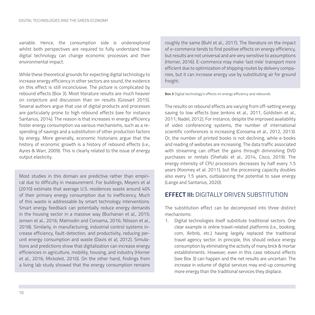variable. Hence, the consumption side is underexplored whilst both perspectives are required to fully understand how digital technology can change economic processes and their environmental impact.

While these theoretical grounds for expecting digital technology to increase energy efficiency in other sectors are sound, the evidence on this effect is still inconclusive. The picture is complicated by rebound effects (Box 3). Most literature results are much heavier on conjecture and discussion than on results (Gossart 2015). Several authors argue that use of digital products and processes are particularly prone to high rebound effects (see for instance Santarius, 2014). The reason is that increases in energy efficiency foster energy consumption via various mechanisms, such as a respending of savings and a substitution of other production factors by energy. More generally, economic historians argue that the history of economic growth is a history of rebound effects (i.e., Ayres & Warr, 2009). This is clearly related to the issue of energy output elasticity.

Most studies in this domain are predictive rather than empirical due to difficulty in measurement. For buildings, Meyers et al (2010) estimate that average U.S. residences waste around 40% of their primary energy consumption due to inefficiency. Much of this waste is addressable by smart technology interventions. Smart energy feedback can potentially reduce energy demands in the housing sector in a massive way (Buchanan et al., 2015; Jensen et al., 2016; Malmodin and Coroama, 2016; Nilsson et al., 2018). Similarly, in manufacturing, industrial control systems increase efficiency, fault-detection, and productivity, reducing perunit energy consumption and waste (Davis et al, 2012). Simulations and predictions show that digitalization can increase energy efficiencies in agriculture, mobility, housing, and industry (Horner et al., 2016; Mickoleit, 2010). On the other hand, findings from a living lab study showed that the energy consumption remains

roughly the same (Buhl et al., 2017). The literature on the impact of e-commerce tends to find positive effects on energy efficiency, but results are not universal and are very sensitive to assumptions (Horner, 2016). E-commerce may make 'last mile' transport more efficient due to optimization of shipping routes by delivery companies, but it can increase energy use by substituting air for ground freight.

#### **Box 3** Digital technology's effects on energy efficiency and rebounds

The results on rebound effects are varying from off-setting energy saving to low effects (see Jenkins et al., 2011, Goldstein et al., 2011; Nadel, 2012). For instance, despite the improved availability of video conferencing systems, the number of international scientific conferences is increasing (Coroama et al., 2012, 2013). Or, the number of printed books is not declining, while e-books and reading of websites are increasing. The data traffic associated with streaming can offset the gains through diminishing DVD purchases or rentals (Shehabi et al., 2014, Cisco, 2019). The energy intensity of CPU processors decreases by half every 1.5 years (Koomey et al. 2011), but the processing capacity doubles also every 1.5 years, outbalancing the potential to save energy (Lange and Santarius, 2020).

### **EFFECT III:** DIGITALLY DRIVEN SUBSTITUTION

The substitution effect can be decomposed into three distinct mechanisms:

1. Digital technologies itself substitute traditional sectors. One clear example is online travel-related platforms (i.e., booking. com, Airbnb, etc.) having largely replaced the traditional travel agency sector. In principle, this should reduce energy consumption by eliminating the activity of many brick & mortar establishments. However, even in this case rebound effects (see Box 3) can happen and the net results are uncertain. The increase in volume of digital services may end-up consuming more energy than the traditional services they displace.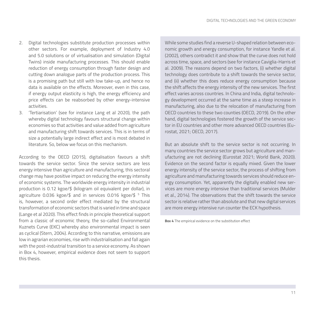- 2. Digital technologies substitute production processes within other sectors. For example, deployment of Industry 4.0 and 5.0 solutions or of virtualisation and simulation (Digital Twins) inside manufacturing processes. This should enable reduction of energy consumption through faster design and cutting down analogue parts of the production process. This is a promising path but still with low take-up, and hence no data is available on the effects. Moreover, even in this case, if energy output elasticity is high, the energy efficiency and price effects can be reabsorbed by other energy-intensive activities.
- 3. 'Tertiarisation' (see for instance Lang et al 2020), the path whereby digital technology favours structural change within economies so that activities and value added from agriculture and manufacturing shift towards services. This is in terms of size a potentially large indirect effect and is most debated in literature. So, below we focus on this mechanism.

According to the OECD (2015), digitalisation favours a shift towards the service sector. Since the service sectors are less energy intensive than agriculture and manufacturing, this sectoral change may have positive impact on reducing the energy intensity of economic systems. The worldwide energy intensity in industrial production is 0.12 kgoe/\$ (kilogram oil equivalent per dollar), in agriculture 0.036 kgoe/\$ and in services 0.016 kgoe/\$ 5 This is, however, a second order effect mediated by the structural transformation of economic sectors that is varied in time and space (Lange et al 2020). This effect finds in principle theoretical support from a classic of economic theory, the so-called Environmental Kuznets Curve (EKC) whereby also environmental impact is seen as cyclical (Stern, 2004). According to this narrative, emissions are low in agrarian economies, rise with industrialisation and fall again with the post-industrial transition to a service economy. As shown in Box 4, however, empirical evidence does not seem to support this thesis.

While some studies find a reverse U-shaped relation between economic growth and energy consumption, for instance Yandle et al. (2002), others contradict it and show that the curve does not hold across time, space, and sectors (see for instance Caviglia-Harris et al. 2009). The reasons depend on two factors, (i) whether digital technology does contribute to a shift towards the service sector, and (ii) whether this does reduce energy consumption because the shift affects the energy intensity of the new services. The first effect varies across countries. In China and India, digital technology development occurred at the same time as a steep increase in manufacturing, also due to the relocation of manufacturing from OECD countries to these two counties (OECD, 2019). On the other hand, digital technologies fostered the growth of the service sector in EU countries and other more advanced OECD countries (Eurostat, 2021; OECD, 2017).

But an absolute shift to the service sector is not occurring. In many countries the service sector grows but agriculture and manufacturing are not declining (Eurostat 2021; World Bank, 2020). Evidence on the second factor is equally mixed. Given the lower energy intensity of the service sector, the process of shifting from agriculture and manufacturing towards services should reduce energy consumption. Yet, apparently the digitally enabled new services are more energy intensive than traditional services (Mulder et al., 2014). The observations that the shift towards the service sector is relative rather than absolute and that new digital services are more energy intensive run counter the ECK hypothesis.

**Box 4** The empirical evidence on the substitution effect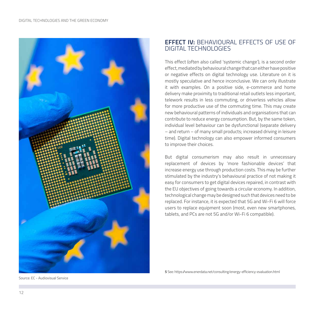

### **EFFECT IV:** BEHAVIOURAL EFFECTS OF USE OF DIGITAL TECHNOLOGIES

This effect (often also called 'systemic change'), is a second order effect, mediated by behavioural change that can either have positive or negative effects on digital technology use. Literature on it is mostly speculative and hence inconclusive. We can only illustrate it with examples. On a positive side, e-commerce and home delivery make proximity to traditional retail outlets less important, telework results in less commuting, or driverless vehicles allow for more productive use of the commuting time. This may create new behavioural patterns of individuals and organisations that can contribute to reduce energy consumption. But, by the same token, individual level behaviour can be dysfunctional (separate delivery – and return – of many small products; increased driving in leisure time). Digital technology can also empower informed consumers to improve their choices.

But digital consumerism may also result in unnecessary replacement of devices by 'more fashionable devices' that increase energy use through production costs. This may be further stimulated by the industry's behavioural practice of not making it easy for consumers to get digital devices repaired, in contrast with the EU objectives of going towards a circular economy. In addition, technological change may be designed such that devices need to be replaced. For instance, it is expected that 5G and Wi-Fi 6 will force users to replace equipment soon (most, even new smartphones, tablets, and PCs are not 5G and/or Wi-Fi 6 compatible).

Source: EC - Audiovisual Service

**5** See: https://www.enerdata.net/consulting/energy-efficiency-evaluation.html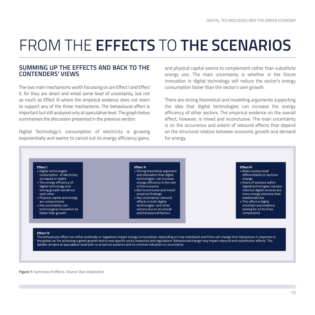# FROM THE **EFFECTS** TO **THE SCENARIOS**

#### **SUMMING UP THE EFFECTS AND BACK TO THE CONTENDERS' VIEWS**

The two main mechanisms worth focussing on are Effect I and Effect II, for they are direct and entail some level of uncertainty, but not as much as Effect III where the empirical evidence does not seem to support any of the three mechanisms. The behavioural effect is important but still analysed only at speculative level. The graph below summarises the discussion presented in the previous section.

Digital Technology's consumption of electricity is growing exponentially and seems to cancel out its energy efficiency gains, and physical capital seems to complement rather than substitute energy use. The main uncertainty is whether in the future innovation in digital technology will reduce the sector's energy consumption faster than the sector's own growth.

There are strong theoretical and modelling arguments supporting the idea that digital technologies can increase the energy efficiency of other sectors. The empirical evidence on the overall effect, however, is mixed and inconclusive. The main uncertainty is on the occurrence and extent of rebound effects that depend on the structural relation between economic growth and demand for energy.



**Figure 1:** Summary of effects. Source: Own elaboration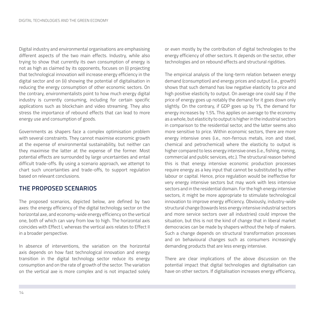Digital industry and environmental organisations are emphasising different aspects of the two main effects. Industry, while also trying to show that currently its own consumption of energy is not as high as claimed by its opponents, focuses on (i) projecting that technological innovation will increase energy efficiency in the digital sector and on (ii) showing the potential of digitalisation in reducing the energy consumption of other economic sectors. On the contrary, environmentalists point to how much energy digital industry is currently consuming, including for certain specific applications such as blockchain and video streaming. They also stress the importance of rebound effects that can lead to more energy use and consumption of goods.

Governments as shapers face a complex optimisation problem with several constraints. They cannot maximise economic growth at the expense of environmental sustainability, but neither can they maximise the latter at the expense of the former. Most potential effects are surrounded by large uncertainties and entail difficult trade-offs. By using a scenario approach, we attempt to chart such uncertainties and trade-offs, to support regulation based on relevant conclusions.

### **THE PROPOSED SCENARIOS**

The proposed scenarios, depicted below, are defined by two axes: the energy efficiency of the digital technology sector on the horizontal axe, and economy-wide energy efficiency on the vertical one, both of which can vary from low to high. The horizontal axis coincides with Effect I, whereas the vertical axis relates to Effect II in a broader perspective.

In absence of interventions, the variation on the horizontal axis depends on how fast technological innovation and energy transition in the digital technology sector reduce its energy consumption and on the rate of growth of the sector. The variation on the vertical axe is more complex and is not impacted solely or even mostly by the contribution of digital technologies to the energy efficiency of other sectors. It depends on the sector, other technologies and on rebound effects and structural rigidities.

The empirical analysis of the long-term relation between energy demand (consumption) and energy prices and output (i.e., growth) shows that such demand has low negative elasticity to price and high positive elasticity to output. On average one could say: if the price of energy goes up notably the demand for it goes down only slightly. On the contrary, if GDP goes up by 1%, the demand for energy increases by 1.5%. This applies on average to the economy as a whole, but elasticity to output is higher in the industrial sectors in comparison to the residential sector, and the latter seems also more sensitive to price. Within economic sectors, there are more energy intensive ones (i.e., non-ferrous metals, iron and steel, chemical and petrochemical) where the elasticity to output is higher compared to less energy intensive ones (i.e., fishing, mining, commercial and public services, etc.). The structural reason behind this is that energy intensive economic production processes require energy as a key input that cannot be substituted by either labour or capital. Hence, price regulation would be ineffective for very energy intensive sectors but may work with less intensive sectors and in the residential domain. For the high energy intensive sectors, it might be more appropriate to stimulate technological innovation to improve energy efficiency. Obviously, industry-wide structural change (towards less energy intensive industrial sectors and more service sectors over all industries) could improve the situation, but this is not the kind of change that in liberal market democracies can be made by shapers without the help of makers. Such a change depends on structural transformation processes and on behavioural changes such as consumers increasingly demanding products that are less energy intensive.

There are clear implications of the above discussion on the potential impact that digital technologies and digitalisation can have on other sectors. If digitalisation increases energy efficiency,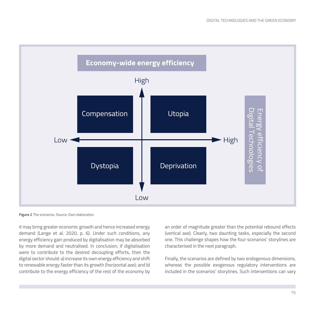

**Figure 2** The scenarios. Source: Own elaboration

it may bring greater economic growth and hence increased energy demand (Lange et al. 2020, p. 6). Under such conditions, any energy efficiency gain produced by digitalisation may be absorbed by more demand and neutralised. In conclusion, if digitalisation were to contribute to the desired decoupling efforts, then the digital sector should: a) increase its own energy efficiency and shift to renewable energy faster than its growth (horizontal axe); and b) contribute to the energy efficiency of the rest of the economy by

an order of magnitude greater than the potential rebound effects (vertical axe). Clearly, two daunting tasks, especially the second one. This challenge shapes how the four scenarios' storylines are characterised in the next paragraph.

Finally, the scenarios are defined by two endogenous dimensions, whereas the possible exogenous regulatory interventions are included in the scenarios' storylines. Such interventions can vary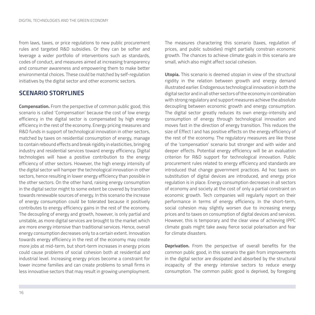from laws, taxes, or price regulations to new public procurement rules and targeted R&D subsidies. Or they can be softer and leverage a wider portfolio of interventions such as standards, codes of conduct, and measures aimed at increasing transparency and consumer awareness and empowering them to make better environmental choices. These could be matched by self-regulation initiatives by the digital sector and other economic sectors.

### **SCENARIO STORYLINES**

**Compensation.** From the perspective of common public good, this scenario is called 'Compensation' because the cost of low energy efficiency in the digital sector is compensated by high energy efficiency in the rest of the economy. Energy pricing measures and R&D funds in support of technological innovation in other sectors, matched by taxes on residential consumption of energy, manage to contain rebound effects and break rigidity in elasticities, bringing industry and residential services toward energy efficiency. Digital technologies will have a positive contribution to the energy efficiency of other sectors. However, the high energy intensity of the digital sector will hamper the technological innovation in other sectors, hence resulting in lower energy efficiency than possible in the other sectors. On the other hand, raising energy consumption in the digital sector might to some extent be covered by transition towards renewable sources of energy. In this scenario the increase of energy consumption could be tolerated because it positively contributes to energy efficiency gains in the rest of the economy. The decoupling of energy and growth, however, is only partial and unstable, as more digital services are brought to the market which are more energy intensive than traditional services. Hence, overall energy consumption decreases only to a certain extent. Innovation towards energy efficiency in the rest of the economy may create more jobs at mid-term, but short-term increases in energy prices could cause problems of social cohesion both at residential and industrial level. Increasing energy prices become a constraint for lower income families and can create problems to small firms in less innovative sectors that may result in growing unemployment.

The measures charactering this scenario (taxes, regulation of prices, and public subsidies) might partially constrain economic growth. The chances to achieve climate goals in this scenario are small, which also might affect social cohesion.

**Utopia.** This scenario is deemed utopian in view of the structural rigidity in the relation between growth and energy demand illustrated earlier. Endogenous technological innovation in both the digital sector and in all other sectors of the economy in combination with strong regulatory and support measures achieve the absolute decoupling between economic growth and energy consumption. The digital sector greatly reduces its own energy-intensity and consumption of energy through technological innovation and moves fast in the direction of energy transition. This reduces the size of Effect I and has positive effects on the energy efficiency of the rest of the economy. The regulatory measures are like those of the 'compensation' scenario but stronger and with wider and deeper effects. Potential energy efficiency will be an evaluation criterion for R&D support for technological innovation. Public procurement rules related to energy efficiency and standards are introduced that change government practices. Ad hoc taxes on substitution of digital devices are introduced, and energy price regulation is in place. Energy consumption decreases in all sectors of economy and society at the cost of only a partial constraint on economic growth. Tech companies will regularly report on their performance in terms of energy efficiency. In the short-term, social cohesion may slightly worsen due to increasing energy prices and to taxes on consumption of digital devices and services. However, this is temporary and the clear view of achieving IPPC climate goals might take away fierce social polarisation and fear for climate disasters.

**Deprivation.** From the perspective of overall benefits for the common public good, in this scenario the gain from improvements in the digital sector are dissipated and absorbed by the structural incapacity of the energy intensive sectors to reduce energy consumption. The common public good is deprived, by foregoing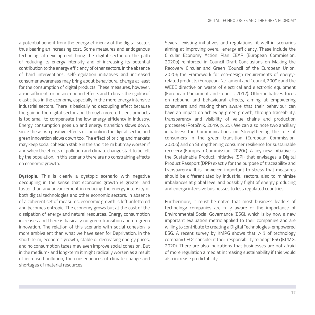a potential benefit from the energy efficiency of the digital sector, thus bearing an increasing cost. Some measures and endogenous technological development bring the digital sector on the path of reducing its energy intensity and of increasing its potential contribution to the energy efficiency of other sectors. In the absence of hard interventions, self-regulation initiatives and increased consumer awareness may bring about behavioural change at least for the consumption of digital products. These measures, however, are insufficient to contain rebound effects and to break the rigidity of elasticities in the economy, especially in the more energy intensive industrial sectors. There is basically no decoupling effect because the gain in the digital sector and through more efficient products is too small to compensate the low energy efficiency in industry. Energy consumption goes up and energy transition slows down, since these two positive effects occur only in the digital sector, and green innovation slows down too. The effect of pricing and markets may keep social cohesion stable in the short term but may worsen if and when the effects of pollution and climate change start to be felt by the population. In this scenario there are no constraining effects on economic growth.

**Dystopia.** This is clearly a dystopic scenario with negative decoupling in the sense that economic growth is greater and faster than any advancement in reducing the energy intensity of both digital technologies and other economic sectors. In absence of a coherent set of measures, economic growth is left unfettered and becomes entropic. The economy grows but at the cost of the dissipation of energy and natural resources. Energy consumption increases and there is basically no green transition and no green innovation. The relation of this scenario with social cohesion is more ambivalent than what we have seen for Deprivation. In the short-term, economic growth, stable or decreasing energy prices, and no consumption taxes may even improve social cohesion. But in the medium- and long-term it might radically worsen as a result of increased pollution, the consequences of climate change and shortages of material resources.

Several existing initiatives and regulations fit well in scenarios aiming at improving overall energy efficiency. These include the Circular Economy Action Plan CEAP (European Commission, 2020b) reinforced in Council Draft Conclusions on Making the Recovery Circular and Green (Council of the European Union, 2020); the Framework for eco-design requirements of energyrelated products (European Parliament and Council, 2009); and the WEEE directive on waste of electrical and electronic equipment (European Parliament and Council, 2012). Other initiatives focus on rebound and behavioural effects, aiming at empowering consumers and making them aware that their behaviour can have an impact on achieving green growth, through traceability, transparency and visibility of value chains and production processes (Potočnik, 2019, p. 25). We can also note two ancillary initiatives: the Communications on Strengthening the role of consumers in the green transition (European Commission, 2020b) and on Strengthening consumer resilience for sustainable recovery (European Commission, 2020c). A key new initiative is the Sustainable Product Initiative (SPI) that envisages a Digital Product Passport (DPP) exactly for the purpose of traceability and transparency. It is, however, important to stress that measures should be differentiated by industrial sectors, also to minimise imbalances at global level and possibly flight of energy producing and energy intensive businesses to less regulated countries.

Furthermore, it must be noted that most business leaders of technology companies are fully aware of the importance of Environmental Social Governance (ESG), which is by now a new important evaluation metric applied to their companies and are willing to contribute to creating a Digital Technologies-empowered ESG. A recent survey by KMPG shows that 74% of technology company CEOs consider it their responsibility to adopt ESG (KPMG, 2020). There are also indications that businesses are not afraid of more regulation aimed at increasing sustainability if this would also increase predictability.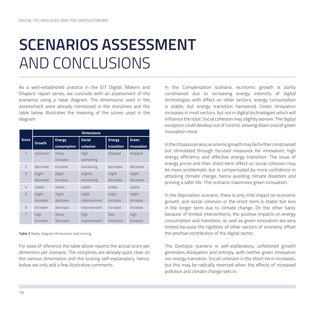### **SCENARIOS ASSESSMENT**  AND CONCLUSIONS

As a well-established practice in the EIT Digital 'Makers and Shapers' report series, we conclude with an assessment of the scenarios using a radar diagram. The dimensions used in the assessment were already mentioned in the storylines and the table below illustrates the meaning of the scores used in the diagram.

|                          | <b>Dimensions</b> |               |               |               |              |  |
|--------------------------|-------------------|---------------|---------------|---------------|--------------|--|
| <b>Score</b>             | <b>Growth</b>     | <b>Energy</b> | <b>Social</b> | <b>Energy</b> | <b>Green</b> |  |
|                          |                   | consumption   | cohesion      | transition    | innovation   |  |
| 1                        | recession         | sharp         | high          | stopped       | stopped      |  |
|                          |                   | increase      | worsening     |               |              |  |
| $\overline{\phantom{0}}$ | decrease          | increase      | worsening     | decrease      | decrease     |  |
| $\overline{3}$           | slight            | slight        | slightly      | slight        | slight       |  |
|                          | decrease          | increase      | worsening     | decrease      | decrease     |  |
| 4                        | stable            | stable        | stable        | stable        | stable       |  |
| 5                        | slight            | slight        | slight        | slight        | slight       |  |
|                          | increase          | decrease      | improvement   | increase      | increase     |  |
| 6                        | increase          | decrease      | improvement   | increase      | Increase     |  |
| $\overline{7}$           | high              | sharp         | high          | fast          | high         |  |
|                          | increase          | decrease      | improvement   | transition    | increase     |  |

**Table 2** Radar diagram dimensions and scoring

For ease of reference the table above reports the actual score per dimension per scenario. The storylines are already quite clear on the various dimensions and the scoring self-explanatory, hence, below we only add a few illustrative comments.

In the Compensation scenario, economic growth is partly constrained due to increasing energy intensity of digital technologies with effect on other sectors, energy consumption is stable, but energy transition hampered. Green innovation increases in most sectors, but not in digital technologies which will influence the total. Social cohesion may slightly worsen. The digital exception could develop out of control, slowing down overall green innovation more.

In the Utopia scenario, economic growth may be further constrained but stimulated through focused measures for innovation, high energy efficiency and effective energy transition. The issue of energy prices and their short-term effect on social cohesion may be more problematic but is compensated by more confidence in attacking climate change, hence avoiding climate disasters and proving a safer life. This scenario maximises green innovation.

In the Deprivation scenario, there is only mild impact on economic growth, and social cohesion in the short term is stable but less in the longer term due to climate change. On the other hand, because of limited interventions, the positive impacts on energy consumption and transition, as well as green innovation are very limited because the rigidities of other sectors of economy offset the positive contribution of the digital sector.

The Dystopia scenario is self-explanatory, unfettered growth generates dissipation and entropy, with neither green innovation nor energy transition. Social cohesion in the short-term increases, but this may be radically reversed when the effects of increased pollution and climate change sets in.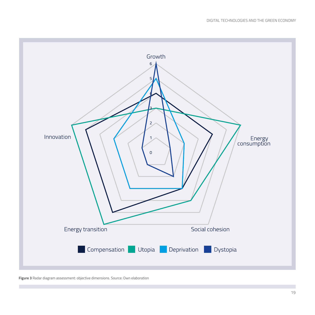

**Figure 3** Radar diagram assessment: objective dimensions. Source: Own elaboration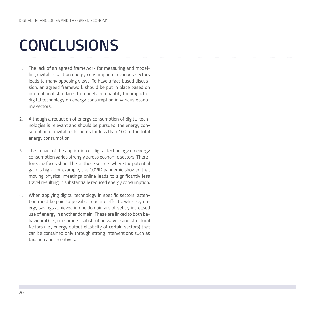## **CONCLUSIONS**

- 1. The lack of an agreed framework for measuring and modelling digital impact on energy consumption in various sectors leads to many opposing views. To have a fact-based discussion, an agreed framework should be put in place based on international standards to model and quantify the impact of digital technology on energy consumption in various economy sectors.
- 2. Although a reduction of energy consumption of digital technologies is relevant and should be pursued, the energy consumption of digital tech counts for less than 10% of the total energy consumption.
- 3. The impact of the application of digital technology on energy consumption varies strongly across economic sectors. Therefore, the focus should be on those sectors where the potential gain is high. For example, the COVID pandemic showed that moving physical meetings online leads to significantly less travel resulting in substantially reduced energy consumption.
- 4. When applying digital technology in specific sectors, attention must be paid to possible rebound effects, whereby energy savings achieved in one domain are offset by increased use of energy in another domain. These are linked to both behavioural (i.e., consumers' substitution waves) and structural factors (i.e., energy output elasticity of certain sectors) that can be contained only through strong interventions such as taxation and incentives.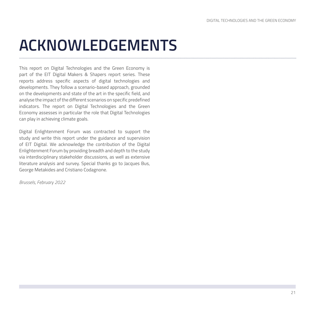## **ACKNOWLEDGEMENTS**

This report on Digital Technologies and the Green Economy is part of the EIT Digital Makers & Shapers report series. These reports address specific aspects of digital technologies and developments. They follow a scenario-based approach, grounded on the developments and state of the art in the specific field, and analyse the impact of the different scenarios on specific predefined indicators. The report on Digital Technologies and the Green Economy assesses in particular the role that Digital Technologies can play in achieving climate goals.

Digital Enlightenment Forum was contracted to support the study and write this report under the guidance and supervision of EIT Digital. We acknowledge the contribution of the Digital Enlightenment Forum by providing breadth and depth to the study via interdisciplinary stakeholder discussions, as well as extensive literature analysis and survey. Special thanks go to Jacques Bus, George Metakides and Cristiano Codagnone.

*Brussels, February 2022*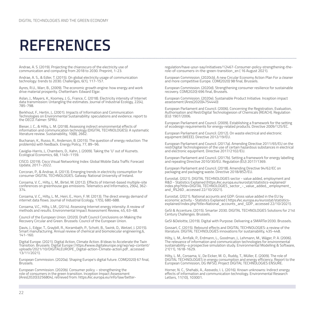### **REFERENCES**

Andrae, A. S. (2019). Projecting the chiaroscuro of the electricity use of communication and computing from 2018 to 2030. Preprint, 1-23.

Andrae, A. S., & Edler, T. (2015). On global electricity usage of communication technology: trends to 2030. Challenges, 6(1), 117-157.

Ayres, R.U., Warr, B., (2009). The economic growth engine: how energy and work drive material prosperity. Cheltenham: Edward Elgar.

Aslan, J., Mayers, K., Koomey, J. G., France, C. (2018). Electricity intensity of Internet data transmission: Untangling the estimates. Journal of Industrial Ecology, 22(4), 785-798.

Berkhout, F., Hertin, J., (2001). Impacts of Information and Communication Technologies on Environmental Sustainability: speculations and evidence. report to the OECD. Falmer: SPRU.

Bieser, J. C., & Hilty, L. M. (2018). Assessing indirect environmental effects of information and communication technology (DIGITAL TECHNOLOGIES): A systematic literature review. Sustainability, 10(8), 2662.

Buchanan, K., Russo, R., Anderson, B. (2015). The question of energy reduction: The problem(s) with feedback. Energy Policy, 77, 89–96.

Caviglia-Harris, J., Chambers, D., Kahn, J. (2009). Taking the 'U' out of Kuznets. Ecological Economics, 68, 1149–1159.

CISCO. (2019). Cisco Visual Networking Index: Global Mobile Data Traffic Forecast Update, 2017–2022.

Corcoran, P., & Andrae, A. (2013). Emerging trends in electricity consumption for consumer DIGITAL TECHNOLOGIES. Galway: National University of Ireland.

Coroama, V. C., Hilty, L. M., Birtel, M. (2012). Effects of Internet-based multiple-site conferences on greenhouse gas emissions. Telematics and Informatics, 29(4), 362- 374.

Coroama, V. C., Hilty, L. M., Heiri, E., Horn, F. M. (2013). The direct energy demand of internet data flows. Journal of Industrial Ecology, 17(5), 680-688.

Coroama, V.C., Hilty, L.M., (2014). Assessing Internet energy intensity: A review of methods and results. Environmental Impact Assessment Review, 45, 63–68.

Council of the European Union. (2020). Draft Council Conclusions on Making the Recovery Circular and Green. Brussels: Council of the European Union.

Davis, J., Edgar, T., Graybill, R., Korambath, P., Schott, B., Swink, D., Wetzel, J. (2015). Smart manufacturing. Annual review of chemical and biomolecular engineering,6, 141-160.

Digital Europe. (2021). Digital Action, Climate Action. 8 Ideas to Accelerate the Twin Transition. Brussels: Digital Europe ( https://www.digitaleurope.org/wp/wp-content/ uploads/2021/10/DIGITALEUROPE\_Digital-action-Climate-action.pdf , accessed 13/11/2021).

European Commission. (2020a). Shaping Europe's digital future. COM(2020) 67 final, Brussels.

European Commission. (2020b). Consumer policy – strengthening the role of consumers in the green transition. Inception Impact Assessment (Ares(2020)3256804), retrieved from: https://ec.europa.eu/info/law/betterregulation/have-your-say/initiatives/12467-Consumer-policy-strengthening-therole-of-consumers-in-the-green-transition\_en ( 16 August 2021).

European Commission. (2020cb). A new Circular Economy Action Plan For a cleaner and more competitive Europe. COM(2020) 98 final, Brussels.

European Commission. (2020d). Strengthening consumer resilience for sustainable recovery. COM(2020) 696 final, Brussels.

European Commission. (2020e). Sustainable Product Initiative. Inception impact assessment (Ares(2020)4754440)

European Parliament and Council. (2006). Concerning the Registration, Evaluation, Authorisation and RestrDigital Technologiesion of Chemicals (REACH). Regulation (EU) 1907/2006.

European Parliament and Council. (2009). Establishing a framework for the setting of ecodesign requirements for energy-related products. Directive 2009/125/EC.

European Parliament and Council. (2012). On waste electrical and electronic equipment (WEEE). Directive 2012/19/EU.

European Parliament and Council. (2017a). Amending Directive 2011/65/EU on the restrDigital Technologiesion of the use of certain hazardous substances in electrical and electronic equipment. Directive 2017/2102/EU.

European Parliament and Council. (2017b). Setting a framework for energy labelling and repealing Directive 2010/30/EU. Regulation (EU) 2017/1369.

European Parliament and Council. (2018). Amending Directive 94/62/EC on packaging and packaging waste. Directive 2018/852/EU.

Eurostat. (2021). DIGITAL TECHNOLOGIES sector - value added, employment and R&D - Statistics Explained (https://ec.europa.eu/eurostat/statistics-explained/ index.php?title=DIGITAL TECHNOLOGIES\_sector\_-\_value\_added,\_employment\_ and  $\overline{R}\times\overline{2}6D$ , accessed 22/10/2021).

Eurostat. (2021). National accounts and GDP: Gross value added in the EU by economic activity - Statistics Explained ( https://ec.europa.eu/eurostat/statisticsexplained/index.php?title=National\_accounts\_and\_GDP, accessed 22/10/2021).

GeSI & Accenture, (2015). Smarter 2030. DIGITAL TECHNOLOGIES Solutions for 21st Century Challenges. Brussels.

GeSI &Deloitte, (2019). Digital with Purpose: Delivering a SMARTer2030. Brussels.

Gossart, C. (2015). Rebound effects and DIGITAL TECHNOLOGIES: a review of the literature. DIGITAL TECHNOLOGIES innovations for sustainability, 435-448.

Hilty, L. M., Arnfalk, P., Erdmann, L., Goodman, J., Lehmann, M., Wäger, P. A. (2006). The relevance of information and communication technologies for environmental sustainability–a prospective simulation study. Environmental Modelling & Software, 21(11), 1618-1629.

Hilty, L. M., Coroama, V., De Eicker, M. O., Ruddy, T., Müller, E. (2009). The role of DIGITAL TECHNOLOGIES in energy consumption and energy efficiency. Report to the European Commission, DG INFSO, Project DIGITAL TECHNOLOGIES ENSURE.

Horner, N. C., Shehabi, A., Azevedo, I. L. (2016). Known unknowns: Indirect energy effects of information and communication technology. Environmental Research Letters, 11(10), 103001.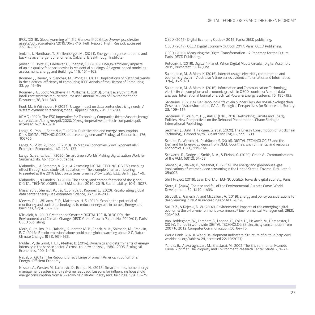IPCC. (2018). Global warming of 1.5 C. Geneva: IPCC (https://www.ipcc.ch/site/ assets/uploads/sites/2/2019/06/SR15\_Full\_Report\_High\_Res.pdf, accessed 22/10/2021).

Jenkins, J., Nordhaus, T., Shellenberger, M., (2011). Energy emergence: rebound and backfire as emergent phenomena. Oakland: Breakthrough Institute.

Jensen, T., Holtz, G., Baedeker, C., Chappin, É.J. (2016). Energy-efficiency impacts of an air-quality feedback device in residential buildings: An agent-based modeling assessment. Energy and Buildings, 116, 151–163.

Koomey, J., Berard, S., Sanchez, M., Wong, H., (2011). Implications of historical trends in the electrical efficiency of computing. IEEE Annals of the History of Computing, 33, pp. 46–54

Koomey, J. G., Scott Matthews, H., Williams, E. (2013). Smart everything: Will intelligent systems reduce resource use? Annual Review of Environment and Resources,38, 311-343.

Koot, M., & Wijnhoven, F. (2021). Usage impact on data center electricity needs: A system dynamic forecasting model. Applied Energy, 291, 116798.

KPMG. (2020). The ESG Imperative for Technology Companies (https://assets.kpmg/ content/dam/kpmg/us/pdf/2020/04/esg-imperative-for-tech-companies.pdf, accessed 24/10/2020)

Lange, S., Pohl, J., Santarius, T. (2020). Digitalization and energy consumption. Does DIGITAL TECHNOLOGIES reduce energy demand? Ecological Economics, 176, 106760.

Lange, S., Pütz, P., Kopp, T. (2018). Do Mature Economies Grow Exponentially? Ecological Economics, 147, 123–133.

Lange, S., Santarius, T. (2020). Smart Green World? Making Digitalization Work for Sustainability. Abington: Routledge.

Malmodin, J. & Coroama, V. (2016). Assessing DIGITAL TECHNOLOGIES's enabling effect through case study extrapolation — The example of smart metering. Presented at the 2016 Electronics Goes Green 2016+ (EGG). IEEE, Berlin, pp. 1–9.

Malmodin, J., & Lundén, D. (2018). The energy and carbon footprint of the global DIGITAL TECHNOLOGIES and E&M sectors 2010–2015. Sustainability, 10(9), 3027.

Masanet, E., Shehabi, A., Lei, N., Smith, S., Koomey, J., (2020). Recalibrating global data center energy-use estimates. Science, 367, 984–986.

Meyers, R. J., Williams, E. D., Matthews, H. S. (2010). Scoping the potential of monitoring and control technologies to reduce energy use in homes. Energy and buildings, 42(5), 563-569.

Mickoleit, A., 2010. Greener and Smarter: DIGITAL TECHNOLOGIESs, the Environment and Climate Change (OECD Green Growth Papers No. 2010/01). Paris: OECD publishing.

Mora, C., Rollins, R. L., Taladay, K., Kantar, M. B., Chock, M. K., Shimada, M., Franklin, E. C. (2018). Bitcoin emissions alone could push global warming above 2 C. Nature Climate Change, 8(11), 931-933.

Mulder, P., de Groot, H.L.F., Pfeiffer, B. (2014). Dynamics and determinants of energy intensity in the service sector: A cross-country analysis, 1980–2005. Ecological Economics, 100, 1–15.

Nadel, S., (2012). The Rebound Effect: Large or Small? American Council for an Energy- Efficient Economy.

Nilsson, A., Wester, M., Lazarevic, D., Brandt, N., (2018). Smart homes, home energy management systems and real-time feedback: Lessons for influencing household energy consumption from a Swedish field study. Energy and Buildings, 179, 15–25.

OECD. (2015). Digital Economy Outlook 2015. Paris: OECD publishing.

OECD. (2017). OECD Digital Economy Outlook 2017. Paris: OECD Publishing.

OECD. (2019). Measuring the Digital Transformation - A Roadmap for the Future. Paris: OECD Publishing.

Potočnik, J. (2019). Digital 4 Planet. When Digital Meets Circular. Digital Assembly 2019, Bucharest 13-14 June.

Salahuddin, M., & Alam, K. (2015). Internet usage, electricity consumption and economic growth in Australia: A time series evidence. Telematics and Informatics, 32(4), 862-878.

Salahuddin, M., & Alam, K. (2016). Information and Communication Technology, electricity consumption and economic growth in OECD countries: A panel data analysis. International Journal of Electrical Power & Energy Systems, 76, 185-193.

Santarius, T., (2014). Der Rebound-Effekt: ein blinder Fleck der sozial-ökologischen Gesellschaftstransformation. GAIA - Ecological Perspectives for Science and Society, 23, 109–117.

Santarius, T., Walnum, H.J., Aall, C. (Eds.), 2016. Rethinking Climate and Energy Policies: New Perspectives on the Rebound Phenomenon. Cham: Springer International Publishing.

Sedlmeir, J., Buhl, H., Fridgen, G. et al. (2020). The Energy Consumption of Blockchain Technology: Beyond Myth. Bus Inf Syst Eng, 62, 599–608.

Schulte, P., Welsch, H., Rexhäuser, S. (2016). DIGITAL TECHNOLOGIES and the Demand for Energy: Evidence from OECD Countries. Environmental and resource economics, 63(1), 119-146.

Schwartz, R., Dodge, J., Smith, N. A., & Etzioni, O. (2020). Green AI. Communications of the ACM, 63(12), 54-63.

Shehabi, A., Walker, B., Masanet, E., (2014). The energy and greenhouse-gas implications of internet video streaming in the United States. Environ. Res. Lett. 9, 054007.

Shift Project (2019). Lean DIGITAL TECHNOLOGIES: Towards digital sobriety. Paris.

Stern, D. (2004). The rise and fall of the Environmental Kuznets Curve. World Development, 32, 1419–1439.

Strubell, E., Ganesh, A. and McCallum, A. (2019). Energy and policy considerations for deep learning in NLP. In Proceedings of ACL, 2019.

Sui, D. Z., & Rejeski, D. W. (2002). Environmental impacts of the emerging digital economy: the e-for-environment e-commerce? Environmental Management, 29(2), 155-163.

Van Heddeghem, W., Lambert, S., Lannoo, B., Colle, D., Pickavet, M., Demeester, P. (2014). Trends in worldwide DIGITAL TECHNOLOGIES electricity consumption from 2007 to 2012. Computer Communication, 50, 64–76.

World Bank. (2020). World Development Indicators: Structure of output (http://wdi. worldbank.org/table/4.2#, accessed 22/10/2021).

Yandle, B., Vijayaraghavan, M., Bhattarai, M., 2002. The Environmental Kuznets Curve: A primer. The Property and Environment Research Center Study, 2, 1–24.